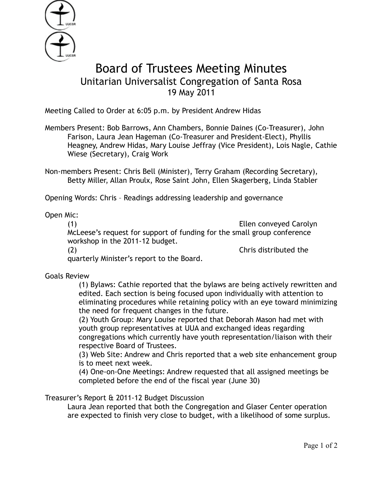

## Board of Trustees Meeting Minutes Unitarian Universalist Congregation of Santa Rosa 19 May 2011

Meeting Called to Order at 6:05 p.m. by President Andrew Hidas

Members Present: Bob Barrows, Ann Chambers, Bonnie Daines (Co-Treasurer), John Farison, Laura Jean Hageman (Co-Treasurer and President-Elect), Phyllis Heagney, Andrew Hidas, Mary Louise Jeffray (Vice President), Lois Nagle, Cathie Wiese (Secretary), Craig Work

Non-members Present: Chris Bell (Minister), Terry Graham (Recording Secretary), Betty Miller, Allan Proulx, Rose Saint John, Ellen Skagerberg, Linda Stabler

Opening Words: Chris – Readings addressing leadership and governance

Open Mic:

(1) Ellen conveyed Carolyn McLeese's request for support of funding for the small group conference workshop in the 2011-12 budget. (2) Chris distributed the

quarterly Minister's report to the Board.

Goals Review

(1) Bylaws: Cathie reported that the bylaws are being actively rewritten and edited. Each section is being focused upon individually with attention to eliminating procedures while retaining policy with an eye toward minimizing the need for frequent changes in the future.

(2) Youth Group: Mary Louise reported that Deborah Mason had met with youth group representatives at UUA and exchanged ideas regarding congregations which currently have youth representation/liaison with their respective Board of Trustees.

(3) Web Site: Andrew and Chris reported that a web site enhancement group is to meet next week.

(4) One-on-One Meetings: Andrew requested that all assigned meetings be completed before the end of the fiscal year (June 30)

Treasurer's Report & 2011-12 Budget Discussion

 Laura Jean reported that both the Congregation and Glaser Center operation are expected to finish very close to budget, with a likelihood of some surplus.